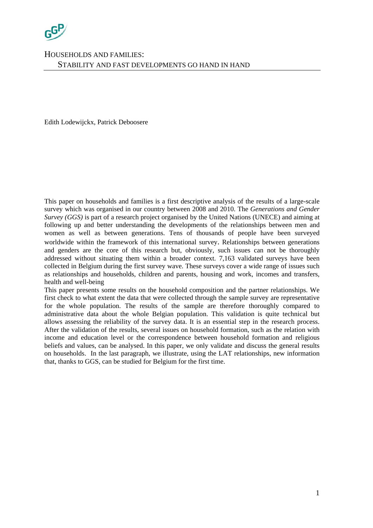

Edith Lodewijckx, Patrick Deboosere

This paper on households and families is a first descriptive analysis of the results of a large-scale survey which was organised in our country between 2008 and 2010. The *Generations and Gender Survey (GGS)* is part of a research project organised by the United Nations (UNECE) and aiming at following up and better understanding the developments of the relationships between men and women as well as between generations. Tens of thousands of people have been surveyed worldwide within the framework of this international survey. Relationships between generations and genders are the core of this research but, obviously, such issues can not be thoroughly addressed without situating them within a broader context. 7,163 validated surveys have been collected in Belgium during the first survey wave. These surveys cover a wide range of issues such as relationships and households, children and parents, housing and work, incomes and transfers, health and well-being

This paper presents some results on the household composition and the partner relationships. We first check to what extent the data that were collected through the sample survey are representative for the whole population. The results of the sample are therefore thoroughly compared to administrative data about the whole Belgian population. This validation is quite technical but allows assessing the reliability of the survey data. It is an essential step in the research process. After the validation of the results, several issues on household formation, such as the relation with income and education level or the correspondence between household formation and religious beliefs and values, can be analysed. In this paper, we only validate and discuss the general results on households. In the last paragraph, we illustrate, using the LAT relationships, new information that, thanks to GGS, can be studied for Belgium for the first time.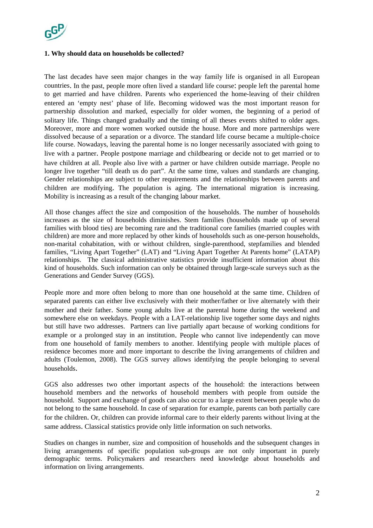

## **1. Why should data on households be collected?**

The last decades have seen major changes in the way family life is organised in all European countries. In the past, people more often lived a standard life course: people left the parental home to get married and have children. Parents who experienced the home-leaving of their children entered an 'empty nest' phase of life. Becoming widowed was the most important reason for partnership dissolution and marked, especially for older women, the beginning of a period of solitary life. Things changed gradually and the timing of all theses events shifted to older ages. Moreover, more and more women worked outside the house. More and more partnerships were dissolved because of a separation or a divorce. The standard life course became a multiple-choice life course. Nowadays, leaving the parental home is no longer necessarily associated with going to live with a partner. People postpone marriage and childbearing or decide not to get married or to have children at all. People also live with a partner or have children outside marriage. People no longer live together "till death us do part". At the same time, values and standards are changing. Gender relationships are subject to other requirements and the relationships between parents and children are modifying. The population is aging. The international migration is increasing. Mobility is increasing as a result of the changing labour market.

All those changes affect the size and composition of the households. The number of households increases as the size of households diminishes. Stem families (households made up of several families with blood ties) are becoming rare and the traditional core families (married couples with children) are more and more replaced by other kinds of households such as one-person households, non-marital cohabitation, with or without children, single-parenthood, stepfamilies and blended families, "Living Apart Together" (LAT) and "Living Apart Together At Parents home" (LATAP) relationships. The classical administrative statistics provide insufficient information about this kind of households. Such information can only be obtained through large-scale surveys such as the Generations and Gender Survey (GGS).

People more and more often belong to more than one household at the same time. Children of separated parents can either live exclusively with their mother/father or live alternately with their mother and their father. Some young adults live at the parental home during the weekend and somewhere else on weekdays. People with a LAT-relationship live together some days and nights but still have two addresses. Partners can live partially apart because of working conditions for example or a prolonged stay in an institution. People who cannot live independently can move from one household of family members to another. Identifying people with multiple places of residence becomes more and more important to describe the living arrangements of children and adults (Toulemon, 2008). The GGS survey allows identifying the people belonging to several households.

GGS also addresses two other important aspects of the household: the interactions between household members and the networks of household members with people from outside the household. Support and exchange of goods can also occur to a large extent between people who do not belong to the same household. In case of separation for example, parents can both partially care for the children. Or, children can provide informal care to their elderly parents without living at the same address. Classical statistics provide only little information on such networks.

Studies on changes in number, size and composition of households and the subsequent changes in living arrangements of specific population sub-groups are not only important in purely demographic terms. Policymakers and researchers need knowledge about households and information on living arrangements.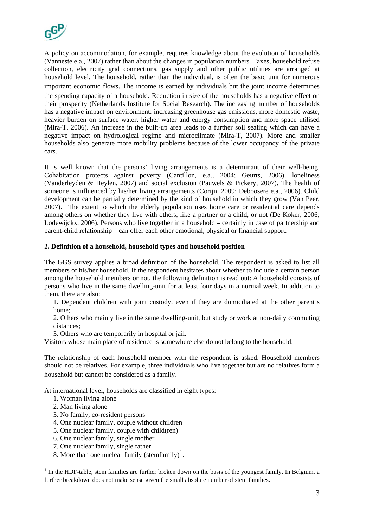

A policy on accommodation, for example, requires knowledge about the evolution of households (Vanneste e.a., 2007) rather than about the changes in population numbers. Taxes, household refuse collection, electricity grid connections, gas supply and other public utilities are arranged at household level. The household, rather than the individual, is often the basic unit for numerous important economic flows. The income is earned by individuals but the joint income determines the spending capacity of a household. Reduction in size of the households has a negative effect on their prosperity (Netherlands Institute for Social Research). The increasing number of households has a negative impact on environment: increasing greenhouse gas emissions, more domestic waste, heavier burden on surface water, higher water and energy consumption and more space utilised (Mira-T, 2006). An increase in the built-up area leads to a further soil sealing which can have a negative impact on hydrological regime and microclimate (Mira-T, 2007). More and smaller households also generate more mobility problems because of the lower occupancy of the private cars.

It is well known that the persons' living arrangements is a determinant of their well-being. Cohabitation protects against poverty (Cantillon, e.a., 2004; Geurts, 2006), loneliness (Vanderleyden & Heylen, 2007) and social exclusion (Pauwels & Pickery, 2007). The health of someone is influenced by his/her living arrangements (Corijn, 2009; Deboosere e.a., 2006). Child development can be partially determined by the kind of household in which they grow (Van Peer, 2007). The extent to which the elderly population uses home care or residential care depends among others on whether they live with others, like a partner or a child, or not (De Koker, 2006; Lodewijckx, 2006). Persons who live together in a household – certainly in case of partnership and parent-child relationship – can offer each other emotional, physical or financial support.

### **2. Definition of a household, household types and household position**

The GGS survey applies a broad definition of the household. The respondent is asked to list all members of his/her household. If the respondent hesitates about whether to include a certain person among the household members or not, the following definition is read out: A household consists of persons who live in the same dwelling-unit for at least four days in a normal week. In addition to them, there are also:

1. Dependent children with joint custody, even if they are domiciliated at the other parent's home;

2. Others who mainly live in the same dwelling-unit, but study or work at non-daily commuting distances;

3. Others who are temporarily in hospital or jail.

Visitors whose main place of residence is somewhere else do not belong to the household.

The relationship of each household member with the respondent is asked. Household members should not be relatives. For example, three individuals who live together but are no relatives form a household but cannot be considered as a family.

At international level, households are classified in eight types:

- 1. Woman living alone
- 2. Man living alone

<u>.</u>

- 3. No family, co-resident persons
- 4. One nuclear family, couple without children
- 5. One nuclear family, couple with child(ren)
- 6. One nuclear family, single mother
- 7. One nuclear family, single father
- 8. More than one nuclear family (stemfamily)<sup>[1](#page-2-0)</sup>.

<span id="page-2-0"></span> $<sup>1</sup>$  In the HDF-table, stem families are further broken down on the basis of the youngest family. In Belgium, a</sup> further breakdown does not make sense given the small absolute number of stem families.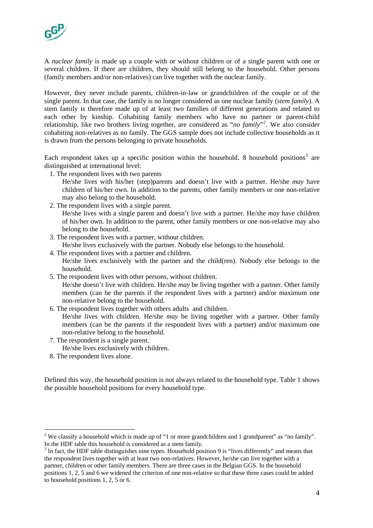

A *nuclear family* is made up a couple with or without children or of a single parent with one or several children. If there are children, they should still belong to the household. Other persons (family members and/or non-relatives) can live together with the nuclear family.

However, they never include parents, children-in-law or grandchildren of the couple or of the single parent. In that case, the family is no longer considered as one nuclear family (*stem family*). A stem family is therefore made up of at least two families of different generations and related to each other by kinship. Cohabiting family members who have no partner or parent-child relationship, like two brothers living together, are considered as "*no family*"*[2](#page-3-0)* . We also consider cohabiting non-relatives as no family. The GGS sample does not include collective households as it is drawn from the persons belonging to private households.

Each respondent takes up a specific position within the household. 8 household positions<sup>[3](#page-3-1)</sup> are distinguished at international level:

- 1. The respondent lives with two parents
	- He/she lives with his/her (step)parents and doesn't live with a partner. He/she *may* have children of his/her own. In addition to the parents, other family members or one non-relative may also belong to the household.
- 2. The respondent lives with a single parent.

He/she lives with a single parent and doesn't live with a partner. He/she *may* have children of his/her own. In addition to the parent, other family members or one non-relative may also belong to the household.

3. The respondent lives with a partner, without children.

He/she lives exclusively with the partner. Nobody else belongs to the household.

4. The respondent lives with a partner and children.

He/she lives exclusively with the partner and the child(ren). Nobody else belongs to the household.

5. The respondent lives with other persons, without children.

He/she doesn't live with children. He/she *may* be living together with a partner. Other family members (can be the parents if the respondent lives with a partner) and/or maximum one non-relative belong to the household.

6. The respondent lives together with others adults and children.

He/she lives with children. He/she *may* be living together with a partner. Other family members (can be the parents if the respondent lives with a partner) and/or maximum one non-relative belong to the household.

- 7. The respondent is a single parent.
	- He/she lives exclusively with children.
- 8. The respondent lives alone.

<u>.</u>

Defined this way, the household position is not always related to the household type. Table 1 shows the possible household positions for every household type.

<span id="page-3-0"></span><sup>&</sup>lt;sup>2</sup> We classify a household which is made up of "1 or more grandchildren and 1 grandparent" as "no family". In the HDF table this household is considered as a stem family.

<span id="page-3-1"></span> $3$  In fact, the HDF table distinguishes nine types. Household position 9 is "lives differently" and means that the respondent lives together with at least two non-relatives. However, he/she can live together with a partner, children or other family members. There are three cases in the Belgian GGS. In the household positions 1, 2, 5 and 6 we widened the criterion of one non-relative so that these three cases could be added to household positions 1, 2, 5 or 6.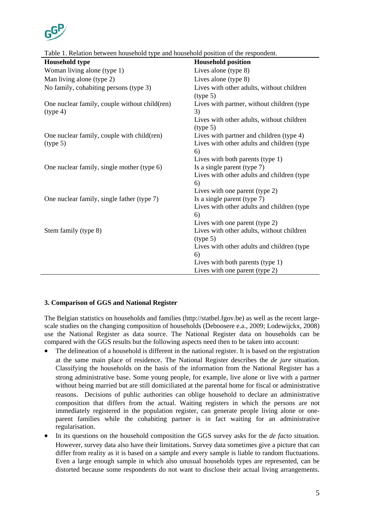

| rable 1. Netation between household type and household position of the respondent.<br><b>Household type</b> | <b>Household position</b>                             |
|-------------------------------------------------------------------------------------------------------------|-------------------------------------------------------|
|                                                                                                             |                                                       |
| Woman living alone (type 1)                                                                                 | Lives alone (type 8)                                  |
| Man living alone (type 2)                                                                                   | Lives alone (type 8)                                  |
| No family, cohabiting persons (type 3)                                                                      | Lives with other adults, without children<br>(type 5) |
| One nuclear family, couple without child(ren)<br>(type 4)                                                   | Lives with partner, without children (type)<br>3)     |
|                                                                                                             | Lives with other adults, without children<br>(type 5) |
| One nuclear family, couple with child(ren)                                                                  | Lives with partner and children (type 4)              |
| (type 5)                                                                                                    | Lives with other adults and children (type            |
|                                                                                                             | 6)                                                    |
|                                                                                                             | Lives with both parents (type 1)                      |
| One nuclear family, single mother (type 6)                                                                  | Is a single parent (type $7$ )                        |
|                                                                                                             | Lives with other adults and children (type            |
|                                                                                                             | 6)                                                    |
|                                                                                                             | Lives with one parent (type 2)                        |
| One nuclear family, single father (type 7)                                                                  | Is a single parent (type 7)                           |
|                                                                                                             | Lives with other adults and children (type<br>6)      |
|                                                                                                             | Lives with one parent (type 2)                        |
| Stem family (type 8)                                                                                        | Lives with other adults, without children<br>(type 5) |
|                                                                                                             | Lives with other adults and children (type            |
|                                                                                                             | 6)                                                    |
|                                                                                                             | Lives with both parents (type 1)                      |
|                                                                                                             | Lives with one parent (type 2)                        |
|                                                                                                             |                                                       |

Table 1. Relation between household type and household position of the respondent.

## **3. Comparison of GGS and National Register**

The Belgian statistics on households and families (http://statbel.fgov.be) as well as the recent largescale studies on the changing composition of households (Deboosere e.a., 2009; Lodewijckx, 2008) use the National Register as data source. The National Register data on households can be compared with the GGS results but the following aspects need then to be taken into account:

- The delineation of a household is different in the national register. It is based on the registration at the same main place of residence. The National Register describes the *de jure* situation. Classifying the households on the basis of the information from the National Register has a strong administrative base. Some young people, for example, live alone or live with a partner without being married but are still domiciliated at the parental home for fiscal or administrative reasons. Decisions of public authorities can oblige household to declare an administrative composition that differs from the actual. Waiting registers in which the persons are not immediately registered in the population register, can generate people living alone or oneparent families while the cohabiting partner is in fact waiting for an administrative regularisation.
- In its questions on the household composition the GGS survey asks for the *de facto* situation. However, survey data also have their limitations. Survey data sometimes give a picture that can differ from reality as it is based on a sample and every sample is liable to random fluctuations. Even a large enough sample in which also unusual households types are represented, can be distorted because some respondents do not want to disclose their actual living arrangements.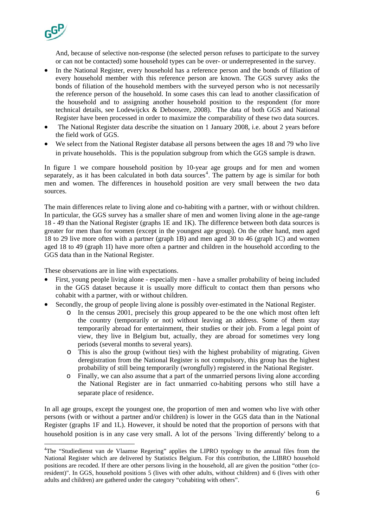

1

And, because of selective non-response (the selected person refuses to participate to the survey or can not be contacted) some household types can be over- or underrepresented in the survey.

- In the National Register, every household has a reference person and the bonds of filiation of every household member with this reference person are known. The GGS survey asks the bonds of filiation of the household members with the surveyed person who is not necessarily the reference person of the household. In some cases this can lead to another classification of the household and to assigning another household position to the respondent (for more technical details, see Lodewijckx & Deboosere, 2008). The data of both GGS and National Register have been processed in order to maximize the comparability of these two data sources.
- The National Register data describe the situation on 1 January 2008, i.e. about 2 years before the field work of GGS.
- We select from the National Register database all persons between the ages 18 and 79 who live in private households. This is the population subgroup from which the GGS sample is drawn.

In figure 1 we compare household position by 10-year age groups and for men and women separately, as it has been calculated in both data sources<sup>[4](#page-5-0)</sup>. The pattern by age is similar for both men and women. The differences in household position are very small between the two data sources.

The main differences relate to living alone and co-habiting with a partner, with or without children. In particular, the GGS survey has a smaller share of men and women living alone in the age-range 18 - 49 than the National Register (graphs 1E and 1K). The difference between both data sources is greater for men than for women (except in the youngest age group). On the other hand, men aged 18 to 29 live more often with a partner (graph 1B) and men aged 30 to 46 (graph 1C) and women aged 18 to 49 (graph 1I) have more often a partner and children in the household according to the GGS data than in the National Register.

These observations are in line with expectations.

- First, young people living alone especially men have a smaller probability of being included in the GGS dataset because it is usually more difficult to contact them than persons who cohabit with a partner, with or without children.
- Secondly, the group of people living alone is possibly over-estimated in the National Register.
	- o In the census 2001, precisely this group appeared to be the one which most often left the country (temporarily or not) without leaving an address. Some of them stay temporarily abroad for entertainment, their studies or their job. From a legal point of view, they live in Belgium but, actually, they are abroad for sometimes very long periods (several months to several years).
	- o This is also the group (without ties) with the highest probability of migrating. Given deregistration from the National Register is not compulsory, this group has the highest probability of still being temporarily (wrongfully) registered in the National Register.
	- o Finally, we can also assume that a part of the unmarried persons living alone according the National Register are in fact unmarried co-habiting persons who still have a separate place of residence.

In all age groups, except the youngest one, the proportion of men and women who live with other persons (with or without a partner and/or children) is lower in the GGS data than in the National Register (graphs 1F and 1L). However, it should be noted that the proportion of persons with that household position is in any case very small. A lot of the persons `living differently' belong to a

<span id="page-5-0"></span><sup>&</sup>lt;sup>4</sup>The "Studiedienst van de Vlaamse Regering" applies the LIPRO typology to the annual files from the National Register which are delivered by Statistics Belgium. For this contribution, the LIBRO household positions are recoded. If there are other persons living in the household, all are given the position "other (coresident)". In GGS, household positions 5 (lives with other adults, without children) and 6 (lives with other adults and children) are gathered under the category "cohabiting with others".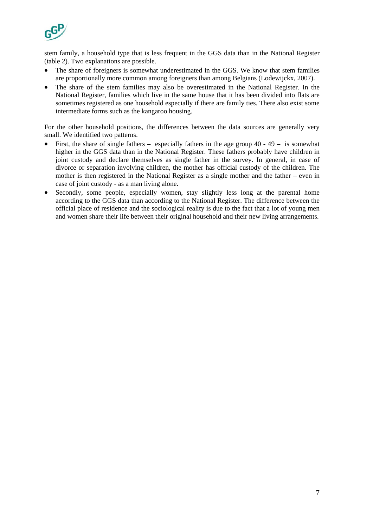

stem family, a household type that is less frequent in the GGS data than in the National Register (table 2). Two explanations are possible.

- The share of foreigners is somewhat underestimated in the GGS. We know that stem families are proportionally more common among foreigners than among Belgians (Lodewijckx, 2007).
- The share of the stem families may also be overestimated in the National Register. In the National Register, families which live in the same house that it has been divided into flats are sometimes registered as one household especially if there are family ties. There also exist some intermediate forms such as the kangaroo housing.

For the other household positions, the differences between the data sources are generally very small. We identified two patterns.

- First, the share of single fathers especially fathers in the age group  $40 49 -$  is somewhat higher in the GGS data than in the National Register. These fathers probably have children in joint custody and declare themselves as single father in the survey. In general, in case of divorce or separation involving children, the mother has official custody of the children. The mother is then registered in the National Register as a single mother and the father – even in case of joint custody - as a man living alone.
- Secondly, some people, especially women, stay slightly less long at the parental home according to the GGS data than according to the National Register. The difference between the official place of residence and the sociological reality is due to the fact that a lot of young men and women share their life between their original household and their new living arrangements.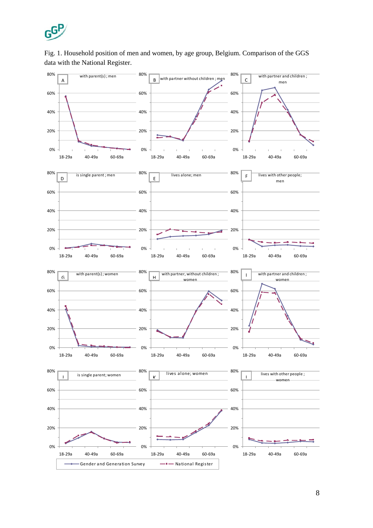

# Fig. 1. Household position of men and women, by age group, Belgium. Comparison of the GGS data with the National Register.

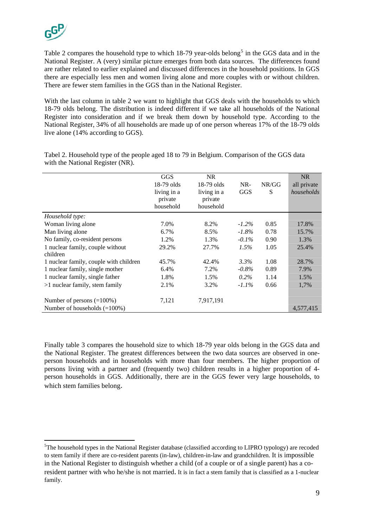1

Table 2 compares the household type to which  $18-79$  year-olds belong<sup>[5](#page-8-0)</sup> in the GGS data and in the National Register. A (very) similar picture emerges from both data sources. The differences found are rather related to earlier explained and discussed differences in the household positions. In GGS there are especially less men and women living alone and more couples with or without children. There are fewer stem families in the GGS than in the National Register.

With the last column in table 2 we want to highlight that GGS deals with the households to which 18-79 olds belong. The distribution is indeed different if we take all households of the National Register into consideration and if we break them down by household type. According to the National Register, 34% of all households are made up of one person whereas 17% of the 18-79 olds live alone (14% according to GGS).

|                                              | GGS<br>$18-79$ olds<br>living in a<br>private<br>household | <b>NR</b><br>$18-79$ olds<br>living in a<br>private<br>household | $NR-$<br><b>GGS</b> | NR/GG<br>S | <b>NR</b><br>all private<br>households |
|----------------------------------------------|------------------------------------------------------------|------------------------------------------------------------------|---------------------|------------|----------------------------------------|
| Household type:                              |                                                            |                                                                  |                     |            |                                        |
| Woman living alone                           | 7.0%                                                       | 8.2%                                                             | $-1.2\%$            | 0.85       | 17.8%                                  |
| Man living alone                             | 6.7%                                                       | 8.5%                                                             | $-1.8\%$            | 0.78       | 15.7%                                  |
| No family, co-resident persons               | 1.2%                                                       | 1.3%                                                             | $-0.1\%$            | 0.90       | 1.3%                                   |
| 1 nuclear family, couple without<br>children | 29.2%                                                      | 27.7%                                                            | 1.5%                | 1.05       | 25.4%                                  |
| 1 nuclear family, couple with children       | 45.7%                                                      | 42.4%                                                            | 3.3%                | 1.08       | 28.7%                                  |
| 1 nuclear family, single mother              | 6.4%                                                       | 7.2%                                                             | $-0.8\%$            | 0.89       | 7.9%                                   |
| 1 nuclear family, single father              | 1.8%                                                       | 1.5%                                                             | $0.2\%$             | 1.14       | 1.5%                                   |
| $>1$ nuclear family, stem family             | 2.1%                                                       | 3.2%                                                             | $-1.1\%$            | 0.66       | 1,7%                                   |
| Number of persons $(=100\%)$                 | 7,121                                                      | 7,917,191                                                        |                     |            |                                        |
| Number of households $(=100\%)$              |                                                            |                                                                  |                     |            | 4,577,415                              |

Tabel 2. Household type of the people aged 18 to 79 in Belgium. Comparison of the GGS data with the National Register (NR).

Finally table 3 compares the household size to which 18-79 year olds belong in the GGS data and the National Register. The greatest differences between the two data sources are observed in oneperson households and in households with more than four members. The higher proportion of persons living with a partner and (frequently two) children results in a higher proportion of 4 person households in GGS. Additionally, there are in the GGS fewer very large households, to which stem families belong.

<span id="page-8-0"></span><sup>&</sup>lt;sup>5</sup>The household types in the National Register database (classified according to LIPRO typology) are recoded to stem family if there are co-resident parents (in-law), children-in-law and grandchildren. It is impossible in the National Register to distinguish whether a child (of a couple or of a single parent) has a coresident partner with who he/she is not married. It is in fact a stem family that is classified as a 1-nuclear family.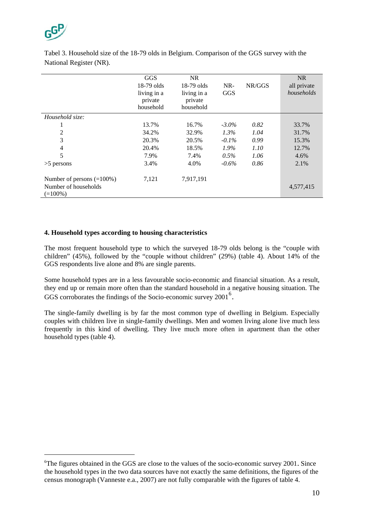

Number of households

 $(=100\%)$ 

<u>.</u>

|                 | <b>GGS</b>             | <b>NR</b>              |            |        | NR          |
|-----------------|------------------------|------------------------|------------|--------|-------------|
|                 | $18-79$ olds           | $18-79$ olds           | $NR-$      | NR/GGS | all private |
|                 | living in a<br>private | living in a<br>private | <b>GGS</b> |        | households  |
|                 | household              | household              |            |        |             |
| Household size: |                        |                        |            |        |             |
|                 | 13.7%                  | 16.7%                  | $-3.0\%$   | 0.82   | 33.7%       |
| 2               | 34.2%                  | 32.9%                  | $1.3\%$    | 1.04   | 31.7%       |
| 3               | 20.3%                  | 20.5%                  | $-0.1\%$   | 0.99   | 15.3%       |
| $\overline{4}$  | 20.4%                  | 18.5%                  | $1.9\%$    | 1.10   | 12.7%       |
| 5               | 7.9%                   | 7.4%                   | 0.5%       | 1.06   | 4.6%        |
| $>5$ persons    | 3.4%                   | 4.0%                   | $-0.6\%$   | 0.86   | 2.1%        |

Tabel 3. Household size of the 18-79 olds in Belgium. Comparison of the GGS survey with the National Register (NR).

## **4. Household types according to housing characteristics**

Number of persons (=100%) 7,121 7,917,191

The most frequent household type to which the surveyed 18-79 olds belong is the "couple with children" (45%), followed by the "couple without children" (29%) (table 4). About 14% of the GGS respondents live alone and 8% are single parents.

Some household types are in a less favourable socio-economic and financial situation. As a result, they end up or remain more often than the standard household in a negative housing situation. The GGS corroborates the findings of the Socio-economic survey 2001<sup>[6](#page-9-0)</sup>.

The single-family dwelling is by far the most common type of dwelling in Belgium. Especially couples with children live in single-family dwellings. Men and women living alone live much less frequently in this kind of dwelling. They live much more often in apartment than the other household types (table 4).

4,577,415

<span id="page-9-0"></span><sup>6</sup> The figures obtained in the GGS are close to the values of the socio-economic survey 2001. Since the household types in the two data sources have not exactly the same definitions, the figures of the census monograph (Vanneste e.a., 2007) are not fully comparable with the figures of table 4.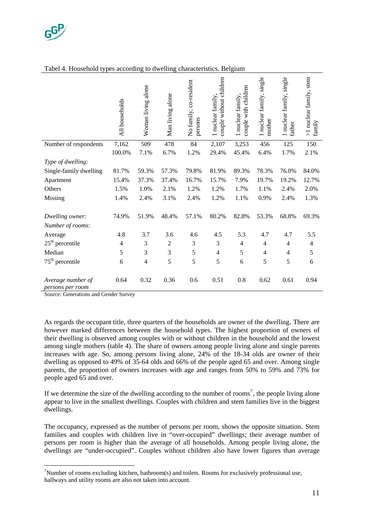

|                                       | All households | Woman living alone | Man living alone | No family, co-resident<br>persons | couple without children<br>1 nuclear family, | couple with children<br>1 nuclear family, | I nuclear family, single<br>mother | I nuclear family, single<br>father | >1 nuclear family, stem<br>family |
|---------------------------------------|----------------|--------------------|------------------|-----------------------------------|----------------------------------------------|-------------------------------------------|------------------------------------|------------------------------------|-----------------------------------|
| Number of respondents                 | 7,162          | 509                | 478              | 84                                | 2,107                                        | 3,253                                     | 456                                | 125                                | 150                               |
|                                       | 100.0%         | 7.1%               | 6.7%             | 1.2%                              | 29.4%                                        | 45.4%                                     | 6.4%                               | 1.7%                               | 2.1%                              |
| Type of dwelling:                     |                |                    |                  |                                   |                                              |                                           |                                    |                                    |                                   |
| Single-family dwelling                | 81.7%          | 59.3%              | 57.3%            | 79.8%                             | 81.9%                                        | 89.3%                                     | 78.3%                              | 76.0%                              | 84.0%                             |
| Apartment                             | 15.4%          | 37.3%              | 37.4%            | 16.7%                             | 15.7%                                        | 7.9%                                      | 19.7%                              | 19.2%                              | 12.7%                             |
| Others                                | 1.5%           | 1.0%               | 2.1%             | 1.2%                              | 1.2%                                         | 1.7%                                      | 1.1%                               | 2.4%                               | 2.0%                              |
| Missing                               | 1.4%           | 2.4%               | 3.1%             | 2.4%                              | 1.2%                                         | 1.1%                                      | 0.9%                               | 2.4%                               | 1.3%                              |
| Dwelling owner:                       | 74.9%          | 51.9%              | 48.4%            | 57.1%                             | 80.2%                                        | 82.8%                                     | 53.3%                              | 68.8%                              | 69.3%                             |
| Number of rooms:                      |                |                    |                  |                                   |                                              |                                           |                                    |                                    |                                   |
| Average                               | 4.8            | 3.7                | 3.6              | 4.6                               | 4.5                                          | 5.3                                       | 4.7                                | 4.7                                | 5.5                               |
| $25^{\text{th}}$ percentile           | 4              | 3                  | $\overline{2}$   | 3                                 | 3                                            | $\overline{4}$                            | $\overline{4}$                     | 4                                  | 4                                 |
| Median                                | 5              | 3                  | $\mathfrak{Z}$   | 5                                 | $\overline{4}$                               | 5                                         | $\overline{4}$                     | 4                                  | 5                                 |
| $75th$ percentile                     | 6              | $\overline{4}$     | 5                | 5                                 | 5                                            | 6                                         | 5                                  | 5                                  | 6                                 |
| Average number of<br>persons per room | 0.64           | 0.32               | 0.36             | 0.6                               | 0.51                                         | 0.8                                       | 0.62                               | 0.61                               | 0.94                              |

### Tabel 4. Household types according to dwelling characteristics. Belgium

Source: Generations and Gender Survey

1

As regards the occupant title, three quarters of the households are owner of the dwelling. There are however marked differences between the household types. The highest proportion of owners of their dwelling is observed among couples with or without children in the household and the lowest among single mothers (table 4). The share of owners among people living alone and single parents increases with age. So, among persons living alone, 24% of the 18-34 olds are owner of their dwelling as opposed to 49% of 35-64 olds and 66% of the people aged 65 and over. Among single parents, the proportion of owners increases with age and ranges from 50% to 59% and 73% for people aged 65 and over.

If we determine the size of the dwelling according to the number of rooms<sup>[7](#page-10-0)</sup>, the people living alone appear to live in the smallest dwellings. Couples with children and stem families live in the biggest dwellings.

The occupancy, expressed as the number of persons per room, shows the opposite situation. Stem families and couples with children live in "over-occupied" dwellings; their average number of persons per room is higher than the average of all households. Among people living alone, the dwellings are "under-occupied". Couples without children also have lower figures than average

<span id="page-10-0"></span><sup>&</sup>lt;sup>7</sup>Number of rooms excluding kitchen, bathroom(s) and toilets. Rooms for exclusively professional use, hallways and utility rooms are also not taken into account.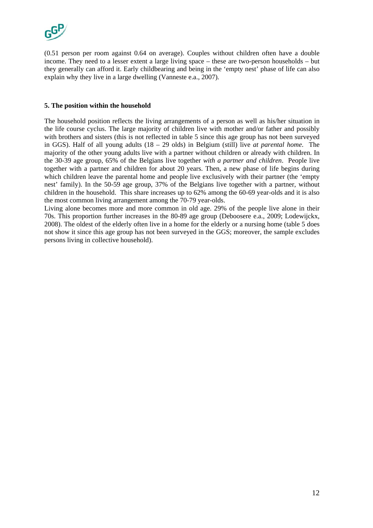

(0.51 person per room against 0.64 on average). Couples without children often have a double income. They need to a lesser extent a large living space – these are two-person households – but they generally can afford it. Early childbearing and being in the 'empty nest' phase of life can also explain why they live in a large dwelling (Vanneste e.a., 2007).

## **5. The position within the household**

The household position reflects the living arrangements of a person as well as his/her situation in the life course cyclus. The large majority of children live with mother and/or father and possibly with brothers and sisters (this is not reflected in table 5 since this age group has not been surveyed in GGS). Half of all young adults (18 – 29 olds) in Belgium (still) live *at parental home*. The majority of the other young adults live with a partner without children or already with children. In the 30-39 age group, 65% of the Belgians live together *with a partner and children*. People live together with a partner and children for about 20 years. Then, a new phase of life begins during which children leave the parental home and people live exclusively with their partner (the 'empty nest' family). In the 50-59 age group, 37% of the Belgians live together with a partner, without children in the household. This share increases up to 62% among the 60-69 year-olds and it is also the most common living arrangement among the 70-79 year-olds.

Living alone becomes more and more common in old age. 29% of the people live alone in their 70s. This proportion further increases in the 80-89 age group (Deboosere e.a., 2009; Lodewijckx, 2008). The oldest of the elderly often live in a home for the elderly or a nursing home (table 5 does not show it since this age group has not been surveyed in the GGS; moreover, the sample excludes persons living in collective household).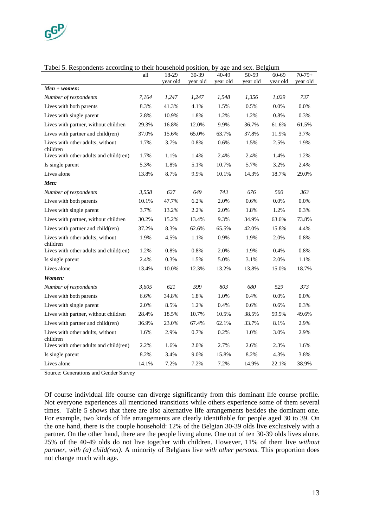

| Tabel 5. Respondents according to their household position, by age and sex. Belgium |       |          |          |          |          |          |          |  |  |
|-------------------------------------------------------------------------------------|-------|----------|----------|----------|----------|----------|----------|--|--|
|                                                                                     | all   | 18-29    | 30-39    | 40-49    | 50-59    | $60-69$  | $70-79+$ |  |  |
|                                                                                     |       | vear old | vear old | vear old | vear old | vear old | year old |  |  |
| $Men + women:$                                                                      |       |          |          |          |          |          |          |  |  |
| Number of respondents                                                               | 7.164 | 1.247    | 1.247    | 1.548    | 1.356    | 1.029    | 737      |  |  |
| Lives with both parents                                                             | 8.3%  | 41.3%    | 4.1%     | 1.5%     | $0.5\%$  | $0.0\%$  | 0.0%     |  |  |
| Lives with single parent                                                            | 2.8%  | 10.9%    | 1.8%     | 1.2%     | 1.2%     | 0.8%     | 0.3%     |  |  |

|  | Tabel 5. Respondents according to their household position, by age and sex. Belgium |  |  |
|--|-------------------------------------------------------------------------------------|--|--|
|  |                                                                                     |  |  |
|  |                                                                                     |  |  |
|  |                                                                                     |  |  |

| Lives with both parents                      | 8.3%  | 41.3% | 4.1%  | 1.5%  | 0.5%  | 0.0%  | 0.0%  |
|----------------------------------------------|-------|-------|-------|-------|-------|-------|-------|
| Lives with single parent                     | 2.8%  | 10.9% | 1.8%  | 1.2%  | 1.2%  | 0.8%  | 0.3%  |
| Lives with partner, without children         | 29.3% | 16.8% | 12.0% | 9.9%  | 36.7% | 61.6% | 61.5% |
| Lives with partner and child(ren)            | 37.0% | 15.6% | 65.0% | 63.7% | 37.8% | 11.9% | 3.7%  |
| Lives with other adults, without<br>children | 1.7%  | 3.7%  | 0.8%  | 0.6%  | 1.5%  | 2.5%  | 1.9%  |
| Lives with other adults and child(ren)       | 1.7%  | 1.1%  | 1.4%  | 2.4%  | 2.4%  | 1.4%  | 1.2%  |
| Is single parent                             | 5.3%  | 1.8%  | 5.1%  | 10.7% | 5.7%  | 3.2%  | 2.4%  |
| Lives alone                                  | 13.8% | 8.7%  | 9.9%  | 10.1% | 14.3% | 18.7% | 29.0% |
| Men:                                         |       |       |       |       |       |       |       |
| Number of respondents                        | 3,558 | 627   | 649   | 743   | 676   | 500   | 363   |
| Lives with both parents                      | 10.1% | 47.7% | 6.2%  | 2.0%  | 0.6%  | 0.0%  | 0.0%  |
| Lives with single parent                     | 3.7%  | 13.2% | 2.2%  | 2.0%  | 1.8%  | 1.2%  | 0.3%  |
| Lives with partner, without children         | 30.2% | 15.2% | 13.4% | 9.3%  | 34.9% | 63.6% | 73.8% |
| Lives with partner and child(ren)            | 37.2% | 8.3%  | 62.6% | 65.5% | 42.0% | 15.8% | 4.4%  |
| Lives with other adults, without<br>children | 1.9%  | 4.5%  | 1.1%  | 0.9%  | 1.9%  | 2.0%  | 0.8%  |
| Lives with other adults and child(ren)       | 1.2%  | 0.8%  | 0.8%  | 2.0%  | 1.9%  | 0.4%  | 0.8%  |
| Is single parent                             | 2.4%  | 0.3%  | 1.5%  | 5.0%  | 3.1%  | 2.0%  | 1.1%  |
| Lives alone                                  | 13.4% | 10.0% | 12.3% | 13.2% | 13.8% | 15.0% | 18.7% |
| Women:                                       |       |       |       |       |       |       |       |
| Number of respondents                        | 3,605 | 621   | 599   | 803   | 680   | 529   | 373   |
| Lives with both parents                      | 6.6%  | 34.8% | 1.8%  | 1.0%  | 0.4%  | 0.0%  | 0.0%  |
| Lives with single parent                     | 2.0%  | 8.5%  | 1.2%  | 0.4%  | 0.6%  | 0.6%  | 0.3%  |
| Lives with partner, without children         | 28.4% | 18.5% | 10.7% | 10.5% | 38.5% | 59.5% | 49.6% |
| Lives with partner and child(ren)            | 36.9% | 23.0% | 67.4% | 62.1% | 33.7% | 8.1%  | 2.9%  |
| Lives with other adults, without<br>children | 1.6%  | 2.9%  | 0.7%  | 0.2%  | 1.0%  | 3.0%  | 2.9%  |
| Lives with other adults and child(ren)       | 2.2%  | 1.6%  | 2.0%  | 2.7%  | 2.6%  | 2.3%  | 1.6%  |
| Is single parent                             | 8.2%  | 3.4%  | 9.0%  | 15.8% | 8.2%  | 4.3%  | 3.8%  |
| Lives alone                                  | 14.1% | 7.2%  | 7.2%  | 7.2%  | 14.9% | 22.1% | 38.9% |

Source: Generations and Gender Survey

Of course individual life course can diverge significantly from this dominant life course profile. Not everyone experiences all mentioned transitions while others experience some of them several times. Table 5 shows that there are also alternative life arrangements besides the dominant one. For example, two kinds of life arrangements are clearly identifiable for people aged 30 to 39. On the one hand, there is the couple household: 12% of the Belgian 30-39 olds live exclusively with a partner. On the other hand, there are the people living alone. One out of ten 30-39 olds lives alone. 25% of the 40-49 olds do not live together with children. However, 11% of them live *without partner, with (a) child(ren)*. A minority of Belgians live *with other persons*. This proportion does not change much with age.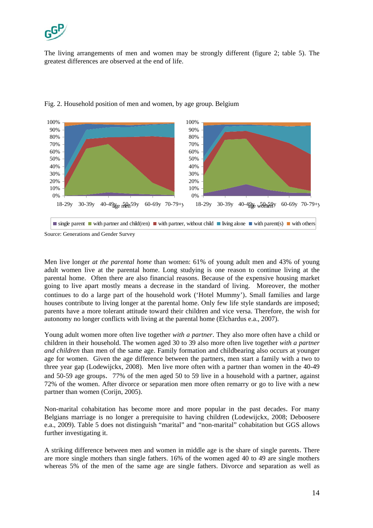

The living arrangements of men and women may be strongly different (figure 2; table 5). The greatest differences are observed at the end of life.



## Fig. 2. Household position of men and women, by age group. Belgium

Men live longer *at the parental home* than women: 61% of young adult men and 43% of young adult women live at the parental home. Long studying is one reason to continue living at the parental home. Often there are also financial reasons. Because of the expensive housing market going to live apart mostly means a decrease in the standard of living. Moreover, the mother continues to do a large part of the household work ('Hotel Mummy'). Small families and large houses contribute to living longer at the parental home. Only few life style standards are imposed; parents have a more tolerant attitude toward their children and vice versa. Therefore, the wish for autonomy no longer conflicts with living at the parental home (Elchardus e.a., 2007).

Young adult women more often live together *with a partner*. They also more often have a child or children in their household. The women aged 30 to 39 also more often live together *with a partner and children* than men of the same age. Family formation and childbearing also occurs at younger age for women. Given the age difference between the partners, men start a family with a two to three year gap (Lodewijckx, 2008). Men live more often with a partner than women in the 40-49 and 50-59 age groups. 77% of the men aged 50 to 59 live in a household with a partner, against 72% of the women. After divorce or separation men more often remarry or go to live with a new partner than women (Corijn, 2005).

Non-marital cohabitation has become more and more popular in the past decades. For many Belgians marriage is no longer a prerequisite to having children (Lodewijckx, 2008; Deboosere e.a., 2009). Table 5 does not distinguish "marital" and "non-marital" cohabitation but GGS allows further investigating it.

A striking difference between men and women in middle age is the share of single parents. There are more single mothers than single fathers. 16% of the women aged 40 to 49 are single mothers whereas 5% of the men of the same age are single fathers. Divorce and separation as well as

Source: Generations and Gender Survey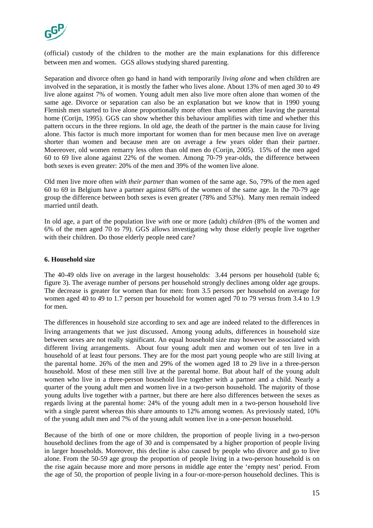

(official) custody of the children to the mother are the main explanations for this difference between men and women. GGS allows studying shared parenting.

Separation and divorce often go hand in hand with temporarily *living alone* and when children are involved in the separation, it is mostly the father who lives alone. About 13% of men aged 30 to 49 live alone against 7% of women. Young adult men also live more often alone than women of the same age. Divorce or separation can also be an explanation but we know that in 1990 young Flemish men started to live alone proportionally more often than women after leaving the parental home (Corijn, 1995). GGS can show whether this behaviour amplifies with time and whether this pattern occurs in the three regions. In old age, the death of the partner is the main cause for living alone. This factor is much more important for women than for men because men live on average shorter than women and because men are on average a few years older than their partner. Moereover, old women remarry less often than old men do (Corijn, 2005). 15% of the men aged 60 to 69 live alone against 22% of the women. Among 70-79 year-olds, the difference between both sexes is even greater: 20% of the men and 39% of the women live alone.

Old men live more often *with their partner* than women of the same age. So, 79% of the men aged 60 to 69 in Belgium have a partner against 68% of the women of the same age. In the 70-79 age group the difference between both sexes is even greater (78% and 53%). Many men remain indeed married until death.

In old age, a part of the population live *with* one or more (adult) *children* (8% of the women and 6% of the men aged 70 to 79). GGS allows investigating why those elderly people live together with their children. Do those elderly people need care?

### **6. Household size**

The 40-49 olds live on average in the largest households: 3.44 persons per household (table 6; figure 3). The average number of persons per household strongly declines among older age groups. The decrease is greater for women than for men: from 3.5 persons per household on average for women aged 40 to 49 to 1.7 person per household for women aged 70 to 79 versus from 3.4 to 1.9 for men.

The differences in household size according to sex and age are indeed related to the differences in living arrangements that we just discussed. Among young adults, differences in household size between sexes are not really significant. An equal household size may however be associated with different living arrangements. About four young adult men and women out of ten live in a household of at least four persons. They are for the most part young people who are still living at the parental home. 26% of the men and 29% of the women aged 18 to 29 live in a three-person household. Most of these men still live at the parental home. But about half of the young adult women who live in a three-person household live together with a partner and a child. Nearly a quarter of the young adult men and women live in a two-person household. The majority of those young adults live together with a partner, but there are here also differences between the sexes as regards living at the parental home: 24% of the young adult men in a two-person household live with a single parent whereas this share amounts to 12% among women. As previously stated, 10% of the young adult men and 7% of the young adult women live in a one-person household.

Because of the birth of one or more children, the proportion of people living in a two-person household declines from the age of 30 and is compensated by a higher proportion of people living in larger households. Moreover, this decline is also caused by people who divorce and go to live alone. From the 50-59 age group the proportion of people living in a two-person household is on the rise again because more and more persons in middle age enter the 'empty nest' period. From the age of 50, the proportion of people living in a four-or-more-person household declines. This is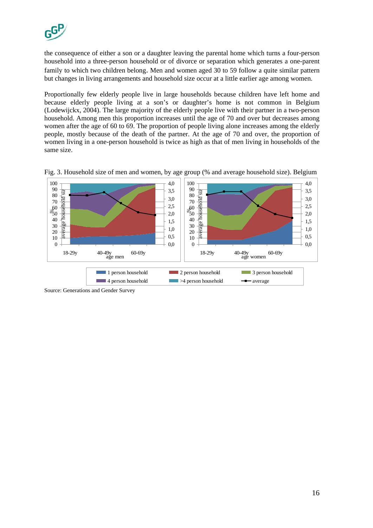

the consequence of either a son or a daughter leaving the parental home which turns a four-person household into a three-person household or of divorce or separation which generates a one-parent family to which two children belong. Men and women aged 30 to 59 follow a quite similar pattern but changes in living arrangements and household size occur at a little earlier age among women.

Proportionally few elderly people live in large households because children have left home and because elderly people living at a son's or daughter's home is not common in Belgium (Lodewijckx, 2004). The large majority of the elderly people live with their partner in a two-person household. Among men this proportion increases until the age of 70 and over but decreases among women after the age of 60 to 69. The proportion of people living alone increases among the elderly people, mostly because of the death of the partner. At the age of 70 and over, the proportion of women living in a one-person household is twice as high as that of men living in households of the same size.



Fig. 3. Household size of men and women, by age group (% and average household size). Belgium

Source: Generations and Gender Survey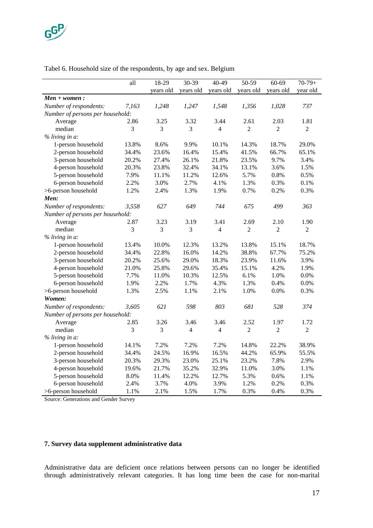

### Tabel 6. Household size of the respondents, by age and sex. Belgium

|                                  | all   | 18-29     | 30-39     | 40-49          | 50-59          | 60-69          | $70-79+$       |
|----------------------------------|-------|-----------|-----------|----------------|----------------|----------------|----------------|
|                                  |       | years old | years old | years old      | years old      | years old      | year old       |
| $Men + women$ :                  |       |           |           |                |                |                |                |
| Number of respondents:           | 7,163 | 1,248     | 1,247     | 1,548          | 1,356          | 1,028          | 737            |
| Number of persons per household: |       |           |           |                |                |                |                |
| Average                          | 2.86  | 3.25      | 3.32      | 3.44           | 2.61           | 2.03           | 1.81           |
| median                           | 3     | 3         | 3         | $\overline{4}$ | $\overline{2}$ | $\overline{2}$ | $\overline{2}$ |
| % living in a:                   |       |           |           |                |                |                |                |
| 1-person household               | 13.8% | 8.6%      | 9.9%      | 10.1%          | 14.3%          | 18.7%          | 29.0%          |
| 2-person household               | 34.4% | 23.6%     | 16.4%     | 15.4%          | 41.5%          | 66.7%          | 65.1%          |
| 3-person household               | 20.2% | 27.4%     | 26.1%     | 21.8%          | 23.5%          | 9.7%           | 3.4%           |
| 4-person household               | 20.3% | 23.8%     | 32.4%     | 34.1%          | 13.1%          | 3.6%           | 1.5%           |
| 5-person household               | 7.9%  | 11.1%     | 11.2%     | 12.6%          | 5.7%           | 0.8%           | 0.5%           |
| 6-person household               | 2.2%  | 3.0%      | 2.7%      | 4.1%           | 1.3%           | 0.3%           | 0.1%           |
| >6-person household              | 1.2%  | 2.4%      | 1.3%      | 1.9%           | 0.7%           | 0.2%           | 0.3%           |
| Men:                             |       |           |           |                |                |                |                |
| Number of respondents:           | 3,558 | 627       | 649       | 744            | 675            | 499            | 363            |
| Number of persons per household: |       |           |           |                |                |                |                |
| Average                          | 2.87  | 3.23      | 3.19      | 3.41           | 2.69           | 2.10           | 1.90           |
| median                           | 3     | 3         | 3         | $\overline{4}$ | $\overline{2}$ | $\overline{2}$ | $\mathbf{2}$   |
| % living in a:                   |       |           |           |                |                |                |                |
| 1-person household               | 13.4% | 10.0%     | 12.3%     | 13.2%          | 13.8%          | 15.1%          | 18.7%          |
| 2-person household               | 34.4% | 22.8%     | 16.0%     | 14.2%          | 38.8%          | 67.7%          | 75.2%          |
| 3-person household               | 20.2% | 25.6%     | 29.0%     | 18.3%          | 23.9%          | 11.6%          | 3.9%           |
| 4-person household               | 21.0% | 25.8%     | 29.6%     | 35.4%          | 15.1%          | 4.2%           | 1.9%           |
| 5-person household               | 7.7%  | 11.0%     | 10.3%     | 12.5%          | 6.1%           | 1.0%           | 0.0%           |
| 6-person household               | 1.9%  | 2.2%      | 1.7%      | 4.3%           | 1.3%           | 0.4%           | 0.0%           |
| >6-person household              | 1.3%  | 2.5%      | 1.1%      | 2.1%           | 1.0%           | $0.0\%$        | 0.3%           |
| Women:                           |       |           |           |                |                |                |                |
| Number of respondents:           | 3,605 | 621       | 598       | 803            | 681            | 528            | 374            |
| Number of persons per household: |       |           |           |                |                |                |                |
| Average                          | 2.85  | 3.26      | 3.46      | 3.46           | 2.52           | 1.97           | 1.72           |
| median                           | 3     | 3         | 4         | 4              | $\overline{2}$ | $\overline{c}$ | $\overline{c}$ |
| % living in a:                   |       |           |           |                |                |                |                |
| 1-person household               | 14.1% | 7.2%      | 7.2%      | 7.2%           | 14.8%          | 22.2%          | 38.9%          |
| 2-person household               | 34.4% | 24.5%     | 16.9%     | 16.5%          | 44.2%          | 65.9%          | 55.5%          |
| 3-person household               | 20.3% | 29.3%     | 23.0%     | 25.1%          | 23.2%          | 7.8%           | 2.9%           |
| 4-person household               | 19.6% | 21.7%     | 35.2%     | 32.9%          | 11.0%          | 3.0%           | 1.1%           |
| 5-person household               | 8.0%  | 11.4%     | 12.2%     | 12.7%          | 5.3%           | 0.6%           | 1.1%           |
| 6-person household               | 2.4%  | 3.7%      | 4.0%      | 3.9%           | 1.2%           | 0.2%           | 0.3%           |
| >6-person household              | 1.1%  | 2.1%      | 1.5%      | 1.7%           | 0.3%           | 0.4%           | 0.3%           |

Source: Generations and Gender Survey

## **7. Survey data supplement administrative data**

Administrative data are deficient once relations between persons can no longer be identified through administratively relevant categories. It has long time been the case for non-marital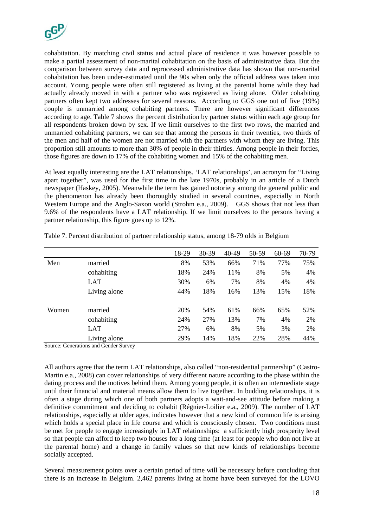

cohabitation. By matching civil status and actual place of residence it was however possible to make a partial assessment of non-marital cohabitation on the basis of administrative data. But the comparison between survey data and reprocessed administrative data has shown that non-marital cohabitation has been under-estimated until the 90s when only the official address was taken into account. Young people were often still registered as living at the parental home while they had actually already moved in with a partner who was registered as living alone. Older cohabiting partners often kept two addresses for several reasons. According to GGS one out of five (19%) couple is unmarried among cohabiting partners. There are however significant differences according to age. Table 7 shows the percent distribution by partner status within each age group for all respondents broken down by sex. If we limit ourselves to the first two rows, the married and unmarried cohabiting partners, we can see that among the persons in their twenties, two thirds of the men and half of the women are not married with the partners with whom they are living. This proportion still amounts to more than 30% of people in their thirties. Among people in their forties, those figures are down to 17% of the cohabiting women and 15% of the cohabiting men.

At least equally interesting are the LAT relationships. 'LAT relationships', an acronym for "Living apart together", was used for the first time in the late 1970s, probably in an article of a Dutch newspaper (Haskey, 2005). Meanwhile the term has gained notoriety among the general public and the phenomenon has already been thoroughly studied in several countries, especially in North Western Europe and the Anglo-Saxon world (Strohm e.a., 2009). GGS shows that not less than 9.6% of the respondents have a LAT relationship. If we limit ourselves to the persons having a partner relationship, this figure goes up to 12%.

|       |              | 18-29 | 30-39 | 40-49 | 50-59 | 60-69 | 70-79 |
|-------|--------------|-------|-------|-------|-------|-------|-------|
| Men   | married      | 8%    | 53%   | 66%   | 71%   | 77%   | 75%   |
|       | cohabiting   | 18%   | 24%   | 11%   | 8%    | 5%    | 4%    |
|       | LAT          | 30%   | 6%    | 7%    | 8%    | 4%    | 4%    |
|       | Living alone | 44%   | 18%   | 16%   | 13%   | 15%   | 18%   |
| Women | married      | 20%   | 54%   | 61%   | 66%   | 65%   | 52%   |
|       | cohabiting   | 24%   | 27%   | 13%   | 7%    | 4%    | 2%    |
|       | <b>LAT</b>   | 27%   | 6%    | 8%    | 5%    | 3%    | 2%    |
|       | Living alone | 29%   | 14%   | 18%   | 22%   | 28%   | 44%   |

Table 7. Percent distribution of partner relationship status, among 18-79 olds in Belgium

Source: Generations and Gender Survey

All authors agree that the term LAT relationships, also called "non-residential partnership" (Castro-Martin e.a., 2008) can cover relationships of very different nature according to the phase within the dating process and the motives behind them. Among young people, it is often an intermediate stage until their financial and material means allow them to live together. In budding relationships, it is often a stage during which one of both partners adopts a wait-and-see attitude before making a definitive commitment and deciding to cohabit (Régnier-Loilier e.a., 2009). The number of LAT relationships, especially at older ages, indicates however that a new kind of common life is arising which holds a special place in life course and which is consciously chosen. Two conditions must be met for people to engage increasingly in LAT relationships: a sufficiently high prosperity level so that people can afford to keep two houses for a long time (at least for people who don not live at the parental home) and a change in family values so that new kinds of relationships become socially accepted.

Several measurement points over a certain period of time will be necessary before concluding that there is an increase in Belgium. 2,462 parents living at home have been surveyed for the LOVO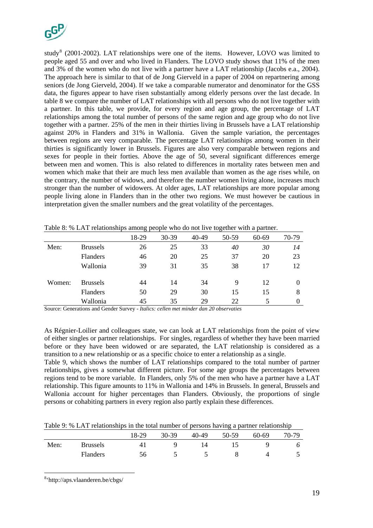

study<sup>[8](#page-18-0)</sup> (2001-2002). LAT relationships were one of the items. However, LOVO was limited to people aged 55 and over and who lived in Flanders. The LOVO study shows that 11% of the men and 3% of the women who do not live with a partner have a LAT relationship (Jacobs e.a., 2004). The approach here is similar to that of de Jong Gierveld in a paper of 2004 on repartnering among seniors (de Jong Gierveld, 2004). If we take a comparable numerator and denominator for the GSS data, the figures appear to have risen substantially among elderly persons over the last decade. In table 8 we compare the number of LAT relationships with all persons who do not live together with a partner. In this table, we provide, for every region and age group, the percentage of LAT relationships among the total number of persons of the same region and age group who do not live together with a partner. 25% of the men in their thirties living in Brussels have a LAT relationship against 20% in Flanders and 31% in Wallonia. Given the sample variation, the percentages between regions are very comparable. The percentage LAT relationships among women in their thirties is significantly lower in Brussels. Figures are also very comparable between regions and sexes for people in their forties. Above the age of 50, several significant differences emerge between men and women. This is also related to differences in mortality rates between men and women which make that their are much less men available than women as the age rises while, on the contrary, the number of widows, and therefore the number women living alone, increases much stronger than the number of widowers. At older ages, LAT relationships are more popular among people living alone in Flanders than in the other two regions. We must however be cautious in interpretation given the smaller numbers and the great volatility of the percentages.

|        |                 | 18-29 | 30-39 | 40-49 | 50-59 | 60-69 | 70-79 |
|--------|-----------------|-------|-------|-------|-------|-------|-------|
| Men:   | <b>Brussels</b> | 26    | 25    | 33    | 40    | 30    | 14    |
|        | <b>Flanders</b> | 46    | 20    | 25    | 37    | 20    | 23    |
|        | Wallonia        | 39    | 31    | 35    | 38    | 17    | 12    |
| Women: | <b>Brussels</b> | 44    | 14    | 34    | 9     | 12    | 0     |
|        | <b>Flanders</b> | 50    | 29    | 30    | 15    | 15    | 8     |
|        | Wallonia        | 45    | 35    | 29    | 22    |       |       |

Table 8: % LAT relationships among people who do not live together with a partner.

Source: Generations and Gender Survey - *Italics: cellen met minder dan 20 observaties*

As Régnier-Loilier and colleagues state, we can look at LAT relationships from the point of view of either singles or partner relationships. For singles, regardless of whether they have been married before or they have been widowed or are separated, the LAT relationship is considered as a transition to a new relationship or as a specific choice to enter a relationship as a single.

Table 9, which shows the number of LAT relationships compared to the total number of partner relationships, gives a somewhat different picture. For some age groups the percentages between regions tend to be more variable. In Flanders, only 5% of the men who have a partner have a LAT relationship. This figure amounts to 11% in Wallonia and 14% in Brussels. In general, Brussels and Wallonia account for higher percentages than Flanders. Obviously, the proportions of single persons or cohabiting partners in every region also partly explain these differences.

Table 9: % LAT relationships in the total number of persons having a partner relationship

|      |                 | 18-29 | 30-39 | 40-49 | 50-59 | $60 - 69$ | 70-79 |
|------|-----------------|-------|-------|-------|-------|-----------|-------|
| Men: | <b>Brussels</b> |       |       |       |       |           | ο     |
|      | <b>Flanders</b> | 56    |       |       |       |           |       |

<span id="page-18-0"></span><sup>8</sup> 'http://aps.vlaanderen.be/cbgs/

1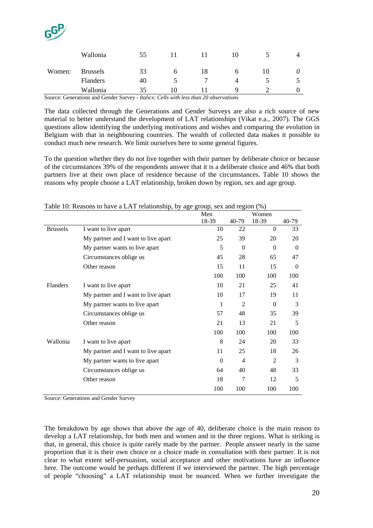

|        | Wallonia                                                                            | 55 |    |   |  |
|--------|-------------------------------------------------------------------------------------|----|----|---|--|
| Women: | <b>Brussels</b>                                                                     | 33 | 18 | Ю |  |
|        | <b>Flanders</b>                                                                     | 40 |    |   |  |
|        | Wallonia                                                                            | 35 |    |   |  |
|        | Course Consertions and Cander Curvey, Italian Calle with Legathere 20 shappeneticus |    |    |   |  |

Source: Generations and Gender Survey - *Italics: Cells with less than 20 observations*

The data collected through the Generations and Gender Surveys are also a rich source of new material to better understand the development of LAT relationships (Vikat e.a., 2007). The GGS questions allow identifying the underlying motivations and wishes and comparing the evolution in Belgium with that in neighbouring countries. The wealth of collected data makes it possible to conduct much new research. We limit ourselves here to some general figures.

To the question whether they do not live together with their partner by deliberate choice or because of the circumstances 39% of the respondents answer that it is a deliberate choice and 46% that both partners live at their own place of residence because of the circumstances. Table 10 shows the reasons why people choose a LAT relationship, broken down by region, sex and age group.

|                 |                                     | Men      |                | Women          |          |
|-----------------|-------------------------------------|----------|----------------|----------------|----------|
|                 |                                     | 18-39    | 40-79          | 18-39          | 40-79    |
| <b>Brussels</b> | I want to live apart                | 10       | 22             | $\Omega$       | 33       |
|                 | My partner and I want to live apart | 25       | 39             | 20             | 20       |
|                 | My partner wants to live apart      | 5        | $\Omega$       | $\Omega$       | $\Omega$ |
|                 | Circumstances oblige us             | 45       | 28             | 65             | 47       |
|                 | Other reason                        | 15       | 11             | 15             | $\Omega$ |
|                 |                                     | 100      | 100            | 100            | 100      |
| Flanders        | I want to live apart                | 10       | 21             | 25             | 41       |
|                 | My partner and I want to live apart | 10       | 17             | 19             | 11       |
|                 | My partner wants to live apart      | 1        | $\overline{2}$ | $\Omega$       | 3        |
|                 | Circumstances oblige us             | 57       | 48             | 35             | 39       |
|                 | Other reason                        | 21       | 13             | 21             | 5        |
|                 |                                     | 100      | 100            | 100            | 100      |
| Wallonia        | I want to live apart                | 8        | 24             | 20             | 33       |
|                 | My partner and I want to live apart | 11       | 25             | 18             | 26       |
|                 | My partner wants to live apart      | $\Omega$ | 4              | $\overline{2}$ | 3        |
|                 | Circumstances oblige us             | 64       | 40             | 48             | 33       |
|                 | Other reason                        | 18       | 7              | 12             | 5        |
|                 |                                     | 100      | 100            | 100            | 100      |

Table 10: Reasons to have a LAT relationship, by age group, sex and region (%)

Source: Generations and Gender Survey

The breakdown by age shows that above the age of 40, deliberate choice is the main reason to develop a LAT relationship, for both men and women and in the three regions. What is striking is that, in general, this choice is quite rarely made by the partner. People answer nearly in the same proportion that it is their own choice or a choice made in consultation with their partner. It is not clear to what extent self-persuasion, social acceptance and other motivations have an influence here. The outcome would be perhaps different if we interviewed the partner. The high percentage of people "choosing" a LAT relationship must be nuanced. When we further investigate the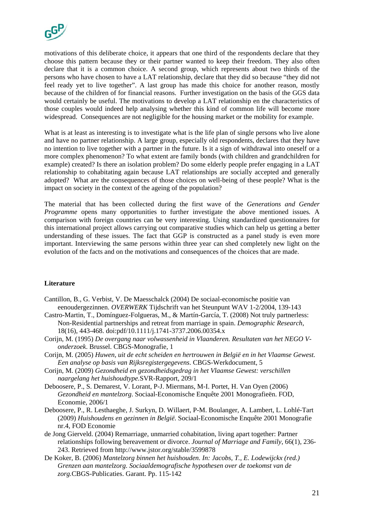

motivations of this deliberate choice, it appears that one third of the respondents declare that they choose this pattern because they or their partner wanted to keep their freedom. They also often declare that it is a common choice. A second group, which represents about two thirds of the persons who have chosen to have a LAT relationship, declare that they did so because "they did not feel ready yet to live together". A last group has made this choice for another reason, mostly because of the children of for financial reasons. Further investigation on the basis of the GGS data would certainly be useful. The motivations to develop a LAT relationship en the characteristics of those couples would indeed help analysing whether this kind of common life will become more widespread. Consequences are not negligible for the housing market or the mobility for example.

What is at least as interesting is to investigate what is the life plan of single persons who live alone and have no partner relationship. A large group, especially old respondents, declares that they have no intention to live together with a partner in the future. Is it a sign of withdrawal into oneself or a more complex phenomenon? To what extent are family bonds (with children and grandchildren for example) created? Is there an isolation problem? Do some elderly people prefer engaging in a LAT relationship to cohabitating again because LAT relationships are socially accepted and generally adopted? What are the consequences of those choices on well-being of these people? What is the impact on society in the context of the ageing of the population?

The material that has been collected during the first wave of the *Generations and Gender Programme* opens many opportunities to further investigate the above mentioned issues*.* A comparison with foreign countries can be very interesting. Using standardized questionnaires for this international project allows carrying out comparative studies which can help us getting a better understanding of these issues. The fact that GGP is constructed as a panel study is even more important. Interviewing the same persons within three year can shed completely new light on the evolution of the facts and on the motivations and consequences of the choices that are made.

#### **Literature**

- Cantillon, B., G. Verbist, V. De Maesschalck (2004) De sociaal-economische positie van eenoudergezinnen. *OVERWERK* Tijdschrift van het Steunpunt WAV 1-2/2004, 139-143
- Castro-Martin, T., Domínguez-Folgueras, M., & Martín-García, T. (2008) Not truly partnerless: Non-Residential partnerships and retreat from marriage in spain. *Demographic Research*, 18(16), 443-468. doi:pdf/10.1111/j.1741-3737.2006.00354.x
- Corijn, M. (1995) *De overgang naar volwassenheid in Vlaanderen. Resultaten van het NEGO Vonderzoek*. Brussel. CBGS-Monografie, 1
- Corijn, M. (2005) *Huwen, uit de echt scheiden en hertrouwen in België en in het Vlaamse Gewest. Een analyse op basis van Rijksregistergegevens*. CBGS-Werkdocument, 5
- Corijn, M. (2009) *Gezondheid en gezondheidsgedrag in het Vlaamse Gewest: verschillen naargelang het huishoudtype.*SVR-Rapport, 209/1
- Deboosere, P., S. Demarest, V. Lorant, P-J. Miermans, M-I. Portet, H. Van Oyen (2006) *Gezondheid en mantelzorg*. Sociaal-Economische Enquête 2001 Monografieën. FOD, Economie, 2006/1
- Deboosere, P., R. Lesthaeghe, J. Surkyn, D. Willaert, P-M. Boulanger, A. Lambert, L. Lohlé-Tart (2009) *Huishoudens en gezinnen in België*. Sociaal-Economische Enquête 2001 Monografie nr.4, FOD Economie
- de Jong Gierveld. (2004) Remarriage, unmarried cohabitation, living apart together: Partner relationships following bereavement or divorce. *Journal of Marriage and Family*, 66(1), 236- 243. Retrieved from http://www.jstor.org/stable/3599878
- De Koker, B. (2006) *Mantelzorg binnen het huishouden. In: Jacobs, T., E. Lodewijckx (red.) Grenzen aan mantelzorg. Sociaaldemografische hypothesen over de toekomst van de zorg.*CBGS-Publicaties. Garant. Pp. 115-142